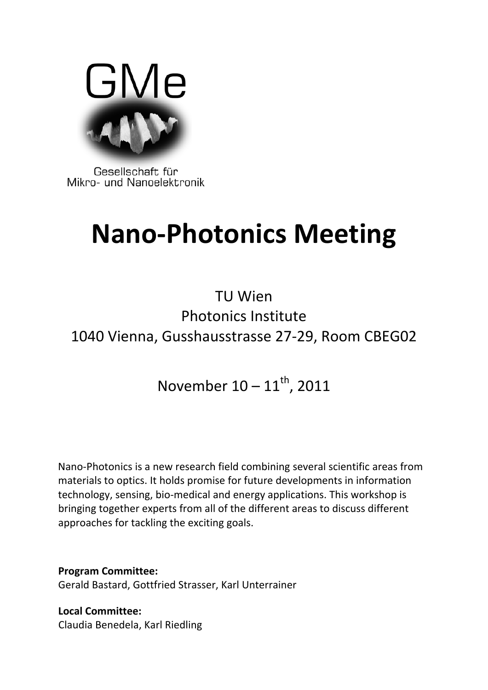

Gesellschaft für Mikro- und Nanoelektronik

## **Nano‐Photonics Meeting**

TU Wien Photonics Institute 1040 Vienna, Gusshausstrasse 27‐29, Room CBEG02

November  $10 - 11^{th}$ , 2011

Nano‐Photonics is a new research field combining several scientific areas from materials to optics. It holds promise for future developments in information technology, sensing, bio‐medical and energy applications. This workshop is bringing together experts from all of the different areas to discuss different approaches for tackling the exciting goals.

**Program Committee:** Gerald Bastard, Gottfried Strasser, Karl Unterrainer

**Local Committee:** Claudia Benedela, Karl Riedling